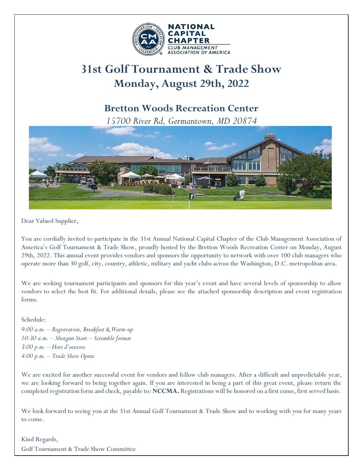

# **31st Golf Tournament & Trade Show Monday, August 29th, 2022**

### **Bretton Woods Recreation Center**

*15700 River Rd, Germantown, MD 20874*



Dear Valued Supplier,

You are cordially invited to participate in the 31st Annual National Capital Chapter of the Club Management Association of America's Golf Tournament & Trade Show, proudly hosted by the Bretton Woods Recreation Center on Monday, August 29th, 2022. This annual event provides vendors and sponsors the opportunity to network with over 100 club managers who operate more than 30 golf, city, country, athletic, military and yacht clubs across the Washington, D.C. metropolitan area.

We are seeking tournament participants and sponsors for this year's event and have several levels of sponsorship to allow vendors to select the best fit. For additional details, please see the attached sponsorship description and event registration forms.

Schedule:

*9:00 a.m. – Registration, Breakfast & Warm-up 10:30 a.m. – Shotgun Start – Scramble format 3:00 p.m. – Hors d'oeuvres 4:00 p.m. – Trade Show Opens*

We are excited for another successful event for vendors and fellow club managers. After a difficult and unpredictable year, we are looking forward to being together again. If you are interested in being a part of this great event, please return the completed registration form and check, payable to: **NCCMA**. Registrations will be honored on a first come, first served basis.

We look forward to seeing you at the 31st Annual Golf Tournament & Trade Show and to working with you for many years to come.

Kind Regards, Golf Tournament & Trade Show Committee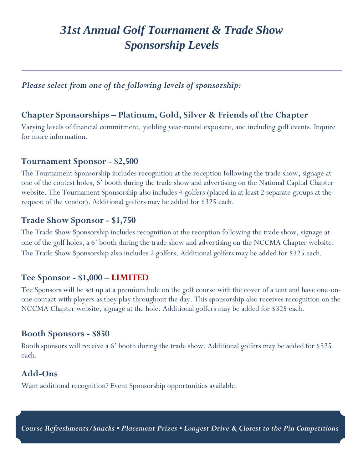## *31st Annual Golf Tournament & Trade Show Sponsorship Levels*

*Please select from one of the following levels of sponsorship:*

### **Chapter Sponsorships – Platinum, Gold, Silver & Friends of the Chapter**

Varying levels of financial commitment, yielding year-round exposure, and including golf events. Inquire for more information.

#### **Tournament Sponsor - \$2,500**

The Tournament Sponsorship includes recognition at the reception following the trade show, signage at one of the contest holes, 6' booth during the trade show and advertising on the National Capital Chapter website. The Tournament Sponsorship also includes 4 golfers (placed in at least 2 separate groups at the request of the vendor). Additional golfers may be added for \$325 each.

#### **Trade Show Sponsor - \$1,750**

The Trade Show Sponsorship includes recognition at the reception following the trade show, signage at one of the golf holes, a 6' booth during the trade show and advertising on the NCCMA Chapter website. The Trade Show Sponsorship also includes 2 golfers. Additional golfers may be added for \$325 each.

#### **Tee Sponsor - \$1,000 – LIMITED**

Tee Sponsors will be set up at a premium hole on the golf course with the cover of a tent and have one-onone contact with players as they play throughout the day. This sponsorship also receives recognition on the NCCMA Chapter website, signage at the hole. Additional golfers may be added for \$325 each.

#### **Booth Sponsors - \$850**

Booth sponsors will receive a 6' booth during the trade show. Additional golfers may be added for \$325 each.

#### **Add-Ons**

Want additional recognition? Event Sponsorship opportunities available.

*Course Refreshments/Snacks • Placement Prizes • Longest Drive & Closest to the Pin Competitions*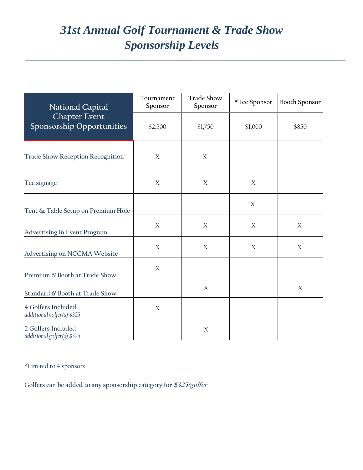# *31st Annual Golf Tournament & Trade Show Sponsorship Levels*

| <b>National Capital</b><br><b>Chapter Event</b><br>Sponsorship Opportunities | Tournament<br>Sponsor | <b>Trade Show</b><br>Sponsor | *Tee Sponsor | <b>Booth Sponsor</b> |
|------------------------------------------------------------------------------|-----------------------|------------------------------|--------------|----------------------|
|                                                                              | \$2,500               | \$1,750                      | \$1,000      | \$850                |
| <b>Trade Show Reception Recognition</b>                                      | X                     | X                            |              |                      |
| Tee signage                                                                  | X                     | X                            | X            |                      |
| Tent & Table Setup on Premium Hole                                           |                       |                              | $\mathbf X$  |                      |
| <b>Advertising in Event Program</b>                                          | X                     | X                            | X            | $\boldsymbol{X}$     |
| Advertising on NCCMA Website                                                 | X                     | X                            | X            | $\mathbf X$          |
| Premium 6' Booth at Trade Show                                               | X                     |                              |              |                      |
| Standard 6' Booth at Trade Show                                              |                       | X                            |              | X                    |
| 4 Golfers Included<br>additional golfer(s) \$325                             | $\mathbf X$           |                              |              |                      |
| 2 Golfers Included<br>additional golfer(s) \$325                             |                       | $\boldsymbol{X}$             |              |                      |

\*Limited to 4 sponsors

**Golfers can be added to any sponsorship category for \$325/golfer**